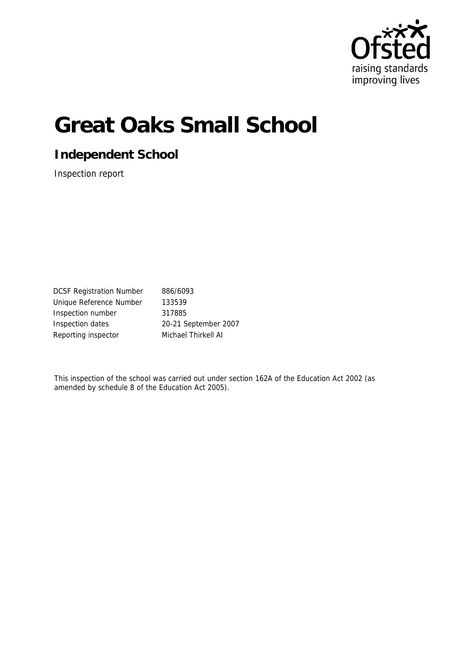

# **Great Oaks Small School**

**Independent School**

Inspection report

DCSF Registration Number 886/6093 Unique Reference Number 133539 Inspection number 317885 Inspection dates 20-21 September 2007 Reporting inspector Michael Thirkell AI

This inspection of the school was carried out under section 162A of the Education Act 2002 (as amended by schedule 8 of the Education Act 2005).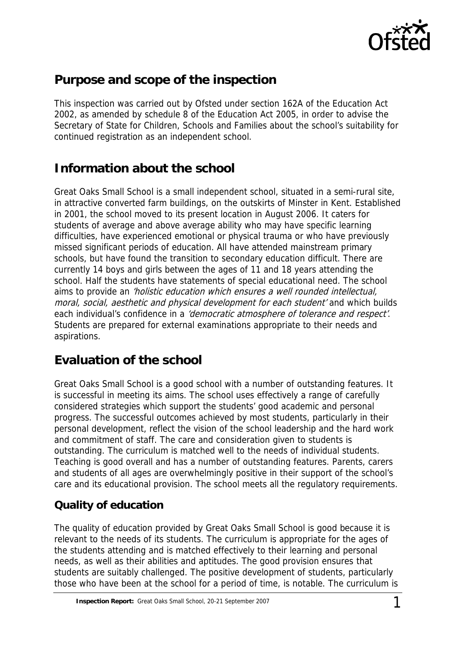

# **Purpose and scope of the inspection**

This inspection was carried out by Ofsted under section 162A of the Education Act 2002, as amended by schedule 8 of the Education Act 2005, in order to advise the Secretary of State for Children, Schools and Families about the school's suitability for continued registration as an independent school.

# **Information about the school**

Great Oaks Small School is a small independent school, situated in a semi-rural site, in attractive converted farm buildings, on the outskirts of Minster in Kent. Established in 2001, the school moved to its present location in August 2006. It caters for students of average and above average ability who may have specific learning difficulties, have experienced emotional or physical trauma or who have previously missed significant periods of education. All have attended mainstream primary schools, but have found the transition to secondary education difficult. There are currently 14 boys and girls between the ages of 11 and 18 years attending the school. Half the students have statements of special educational need. The school aims to provide an 'holistic education which ensures a well rounded intellectual, moral, social, aesthetic and physical development for each student' and which builds each individual's confidence in a 'democratic atmosphere of tolerance and respect'. Students are prepared for external examinations appropriate to their needs and aspirations.

# **Evaluation of the school**

Great Oaks Small School is a good school with a number of outstanding features. It is successful in meeting its aims. The school uses effectively a range of carefully considered strategies which support the students' good academic and personal progress. The successful outcomes achieved by most students, particularly in their personal development, reflect the vision of the school leadership and the hard work and commitment of staff. The care and consideration given to students is outstanding. The curriculum is matched well to the needs of individual students. Teaching is good overall and has a number of outstanding features. Parents, carers and students of all ages are overwhelmingly positive in their support of the school's care and its educational provision. The school meets all the regulatory requirements.

## **Quality of education**

The quality of education provided by Great Oaks Small School is good because it is relevant to the needs of its students. The curriculum is appropriate for the ages of the students attending and is matched effectively to their learning and personal needs, as well as their abilities and aptitudes. The good provision ensures that students are suitably challenged. The positive development of students, particularly those who have been at the school for a period of time, is notable. The curriculum is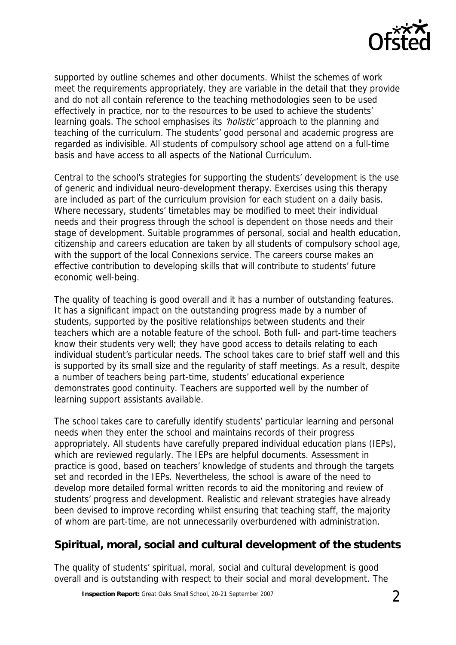

supported by outline schemes and other documents. Whilst the schemes of work meet the requirements appropriately, they are variable in the detail that they provide and do not all contain reference to the teaching methodologies seen to be used effectively in practice, nor to the resources to be used to achieve the students' learning goals. The school emphasises its 'holistic' approach to the planning and teaching of the curriculum. The students' good personal and academic progress are regarded as indivisible. All students of compulsory school age attend on a full-time basis and have access to all aspects of the National Curriculum.

Central to the school's strategies for supporting the students' development is the use of generic and individual neuro-development therapy. Exercises using this therapy are included as part of the curriculum provision for each student on a daily basis. Where necessary, students' timetables may be modified to meet their individual needs and their progress through the school is dependent on those needs and their stage of development. Suitable programmes of personal, social and health education, citizenship and careers education are taken by all students of compulsory school age, with the support of the local Connexions service. The careers course makes an effective contribution to developing skills that will contribute to students' future economic well-being.

The quality of teaching is good overall and it has a number of outstanding features. It has a significant impact on the outstanding progress made by a number of students, supported by the positive relationships between students and their teachers which are a notable feature of the school. Both full- and part-time teachers know their students very well; they have good access to details relating to each individual student's particular needs. The school takes care to brief staff well and this is supported by its small size and the regularity of staff meetings. As a result, despite a number of teachers being part-time, students' educational experience demonstrates good continuity. Teachers are supported well by the number of learning support assistants available.

The school takes care to carefully identify students' particular learning and personal needs when they enter the school and maintains records of their progress appropriately. All students have carefully prepared individual education plans (IEPs), which are reviewed regularly. The IEPs are helpful documents. Assessment in practice is good, based on teachers' knowledge of students and through the targets set and recorded in the IEPs. Nevertheless, the school is aware of the need to develop more detailed formal written records to aid the monitoring and review of students' progress and development. Realistic and relevant strategies have already been devised to improve recording whilst ensuring that teaching staff, the majority of whom are part-time, are not unnecessarily overburdened with administration.

## **Spiritual, moral, social and cultural development of the students**

The quality of students' spiritual, moral, social and cultural development is good overall and is outstanding with respect to their social and moral development. The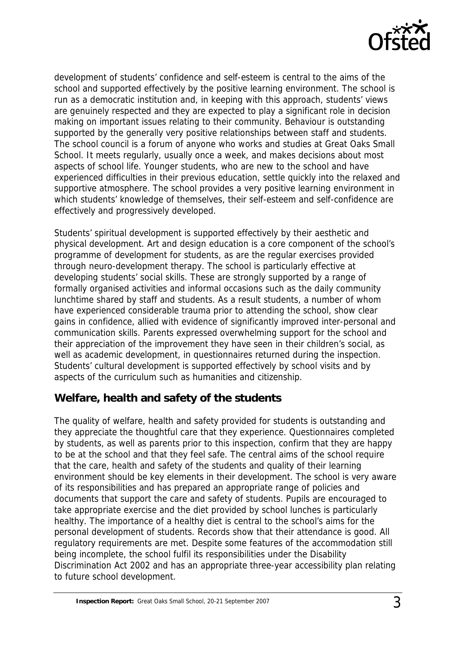

development of students' confidence and self-esteem is central to the aims of the school and supported effectively by the positive learning environment. The school is run as a democratic institution and, in keeping with this approach, students' views are genuinely respected and they are expected to play a significant role in decision making on important issues relating to their community. Behaviour is outstanding supported by the generally very positive relationships between staff and students. The school council is a forum of anyone who works and studies at Great Oaks Small School. It meets regularly, usually once a week, and makes decisions about most aspects of school life. Younger students, who are new to the school and have experienced difficulties in their previous education, settle quickly into the relaxed and supportive atmosphere. The school provides a very positive learning environment in which students' knowledge of themselves, their self-esteem and self-confidence are effectively and progressively developed.

Students' spiritual development is supported effectively by their aesthetic and physical development. Art and design education is a core component of the school's programme of development for students, as are the regular exercises provided through neuro-development therapy. The school is particularly effective at developing students' social skills. These are strongly supported by a range of formally organised activities and informal occasions such as the daily community lunchtime shared by staff and students. As a result students, a number of whom have experienced considerable trauma prior to attending the school, show clear gains in confidence, allied with evidence of significantly improved inter-personal and communication skills. Parents expressed overwhelming support for the school and their appreciation of the improvement they have seen in their children's social, as well as academic development, in questionnaires returned during the inspection. Students' cultural development is supported effectively by school visits and by aspects of the curriculum such as humanities and citizenship.

## **Welfare, health and safety of the students**

The quality of welfare, health and safety provided for students is outstanding and they appreciate the thoughtful care that they experience. Questionnaires completed by students, as well as parents prior to this inspection, confirm that they are happy to be at the school and that they feel safe. The central aims of the school require that the care, health and safety of the students and quality of their learning environment should be key elements in their development. The school is very aware of its responsibilities and has prepared an appropriate range of policies and documents that support the care and safety of students. Pupils are encouraged to take appropriate exercise and the diet provided by school lunches is particularly healthy. The importance of a healthy diet is central to the school's aims for the personal development of students. Records show that their attendance is good. All regulatory requirements are met. Despite some features of the accommodation still being incomplete, the school fulfil its responsibilities under the Disability Discrimination Act 2002 and has an appropriate three-year accessibility plan relating to future school development.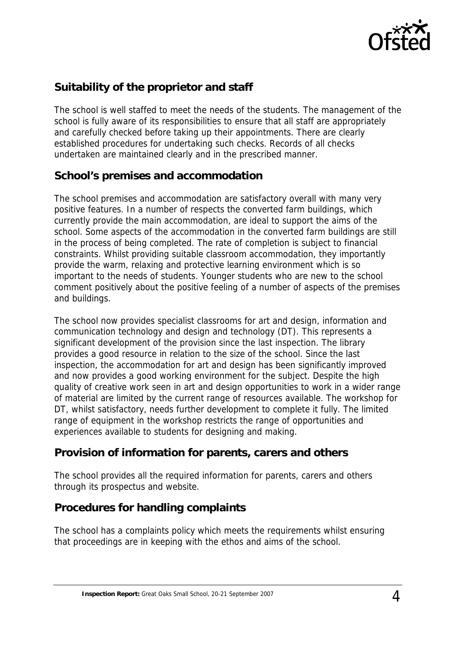

## **Suitability of the proprietor and staff**

The school is well staffed to meet the needs of the students. The management of the school is fully aware of its responsibilities to ensure that all staff are appropriately and carefully checked before taking up their appointments. There are clearly established procedures for undertaking such checks. Records of all checks undertaken are maintained clearly and in the prescribed manner.

#### **School's premises and accommodation**

The school premises and accommodation are satisfactory overall with many very positive features. In a number of respects the converted farm buildings, which currently provide the main accommodation, are ideal to support the aims of the school. Some aspects of the accommodation in the converted farm buildings are still in the process of being completed. The rate of completion is subject to financial constraints. Whilst providing suitable classroom accommodation, they importantly provide the warm, relaxing and protective learning environment which is so important to the needs of students. Younger students who are new to the school comment positively about the positive feeling of a number of aspects of the premises and buildings.

The school now provides specialist classrooms for art and design, information and communication technology and design and technology (DT). This represents a significant development of the provision since the last inspection. The library provides a good resource in relation to the size of the school. Since the last inspection, the accommodation for art and design has been significantly improved and now provides a good working environment for the subject. Despite the high quality of creative work seen in art and design opportunities to work in a wider range of material are limited by the current range of resources available. The workshop for DT, whilst satisfactory, needs further development to complete it fully. The limited range of equipment in the workshop restricts the range of opportunities and experiences available to students for designing and making.

## **Provision of information for parents, carers and others**

The school provides all the required information for parents, carers and others through its prospectus and website.

## **Procedures for handling complaints**

The school has a complaints policy which meets the requirements whilst ensuring that proceedings are in keeping with the ethos and aims of the school.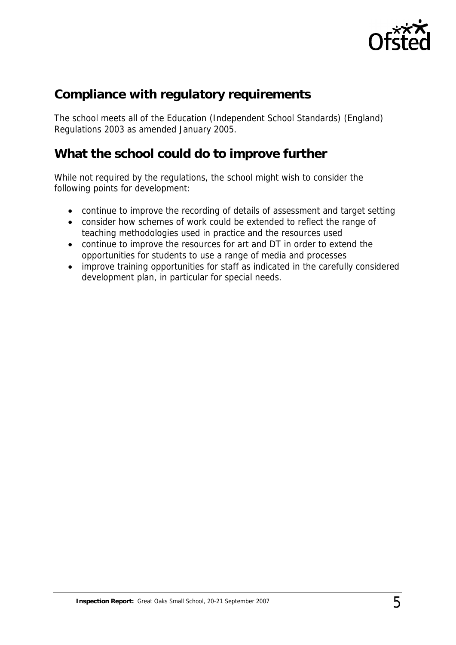

# **Compliance with regulatory requirements**

The school meets all of the Education (Independent School Standards) (England) Regulations 2003 as amended January 2005.

## **What the school could do to improve further**

While not required by the regulations, the school might wish to consider the following points for development:

- continue to improve the recording of details of assessment and target setting
- consider how schemes of work could be extended to reflect the range of teaching methodologies used in practice and the resources used
- continue to improve the resources for art and DT in order to extend the opportunities for students to use a range of media and processes
- improve training opportunities for staff as indicated in the carefully considered development plan, in particular for special needs.